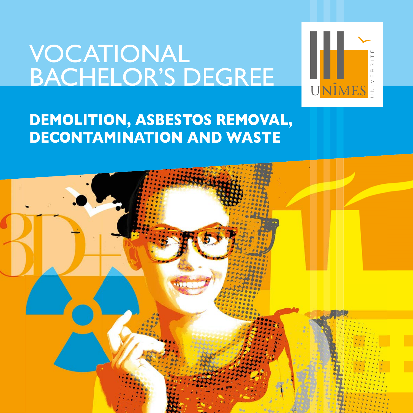# VOCATIONAL BACHELOR'S DEGREE



## **DEMOLITION, ASBESTOS REMOVAL, DECONTAMINATION AND WASTE**

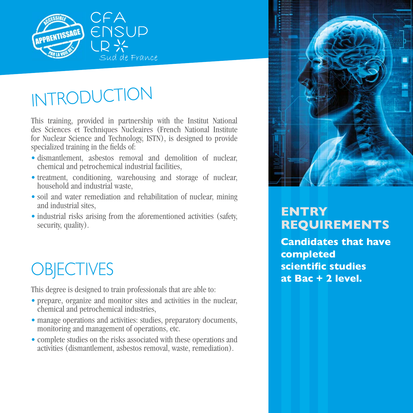

# INTRODUCTION

This training, provided in partnership with the Institut National des Sciences et Techniques Nucleaires (French National Institute for Nuclear Science and Technology, ISTN), is designed to provide specialized training in the fields of:

- dismantlement, asbestos removal and demolition of nuclear, chemical and petrochemical industrial facilities,
- treatment, conditioning, warehousing and storage of nuclear, household and industrial waste,
- soil and water remediation and rehabilitation of nuclear, mining and industrial sites,
- industrial risks arising from the aforementioned activities (safety, security, quality).

# **OBJECTIVES**

This degree is designed to train professionals that are able to:

- prepare, organize and monitor sites and activities in the nuclear, chemical and petrochemical industries,
- manage operations and activities: studies, preparatory documents, monitoring and management of operations, etc.
- complete studies on the risks associated with these operations and activities (dismantlement, asbestos removal, waste, remediation).



## **ENTRY REQUIREMENTS**

**Candidates that have completed scientific studies at Bac + 2 level.**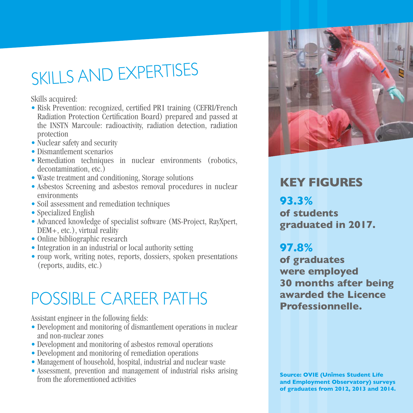# SKILLS AND EXPERTISES

Skills acquired:

- Risk Prevention: recognized, certified PR1 training (CEFRI/French Radiation Protection Certification Board) prepared and passed at the INSTN Marcoule: radioactivity, radiation detection, radiation protection
- Nuclear safety and security
- Dismantlement scenarios
- Remediation techniques in nuclear environments (robotics, decontamination, etc.)
- Waste treatment and conditioning, Storage solutions
- Asbestos Screening and asbestos removal procedures in nuclear environments
- Soil assessment and remediation techniques
- Specialized English
- Advanced knowledge of specialist software (MS-Project, RayXpert, DEM+, etc.), virtual reality
- Online bibliographic research
- Integration in an industrial or local authority setting
- roup work, writing notes, reports, dossiers, spoken presentations (reports, audits, etc.)

# POSSIBLE CAREER PATHS

Assistant engineer in the following fields:

- Development and monitoring of dismantlement operations in nuclear and non-nuclear zones
- Development and monitoring of asbestos removal operations
- Development and monitoring of remediation operations
- Management of household, hospital, industrial and nuclear waste
- Assessment, prevention and management of industrial risks arising from the aforementioned activities



## **KEY FIGURES**

**93.3% of students graduated in 2017.**

## **97.8%**

**of graduates were employed 30 months after being awarded the Licence Professionnelle.**

**Source: OVIE (Unîmes Student Life and Employment Observatory) surveys of graduates from 2012, 2013 and 2014.**